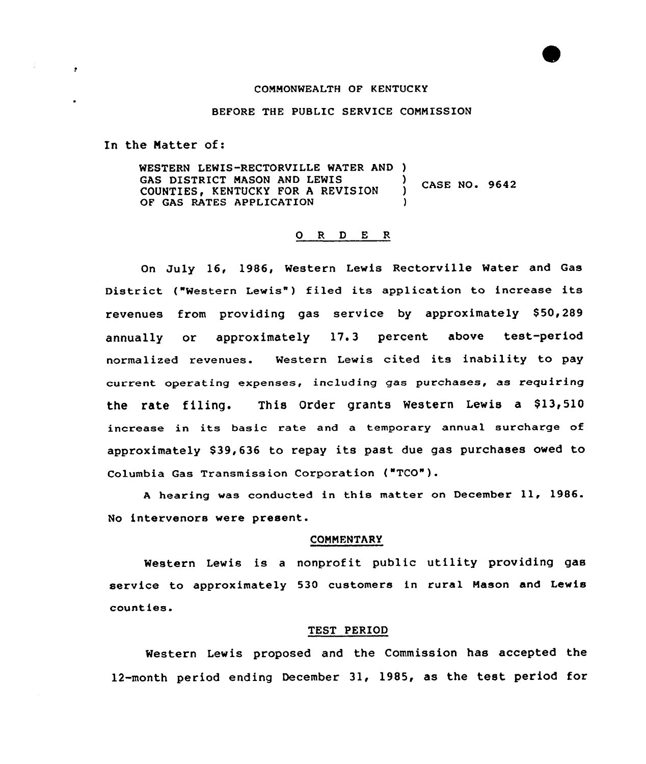### COMMONWEALTH OF KENTUCKY

### BEFORE THE PUBLIC SERVICE COMMISSION

In the Natter of:

 $\cdot$ 

WESTERN LEWIS-RECTORVILLE WATER AND )<br>GAS DISTRICT MASON AND LEWIS ) GAS DISTRICT MASON AND LEWIS (CASE NO. 9642 OF GAS RATES APPLICATION

# 0 <sup>R</sup> <sup>D</sup> E <sup>R</sup>

On July 16, 1986, Western Lewis Rectorville Water and Gas District ("Western Lewis") filed its application to increase its revenues from providing gas service by approximately \$50,289 annually or approximately 17.3 percent above test-period normalized revenues. Western Lewis cited its inability to pay current operating expenses, including gas purchases, as requiring the rate filing. This Order grants Western Lewis a \$13,510 increase in its basic rate and <sup>a</sup> temporary annual surcharge of approximately \$39,636 to repay its past due gas purchases owed to Columbia Gas Transmission Corporation ("TCO").

<sup>A</sup> hearing was conducted in this matter on December 11, 1986. No intervenors were present.

#### COMMENTARY

Western Lewis is <sup>a</sup> nonprofit public utility providing gas service to approximately 530 customers in rural Mason and Lewis counties.

### TEST PERIOD

Western Lewis proposed and the Commission has accepted the 12-month period ending December 31, 1985, as the test period for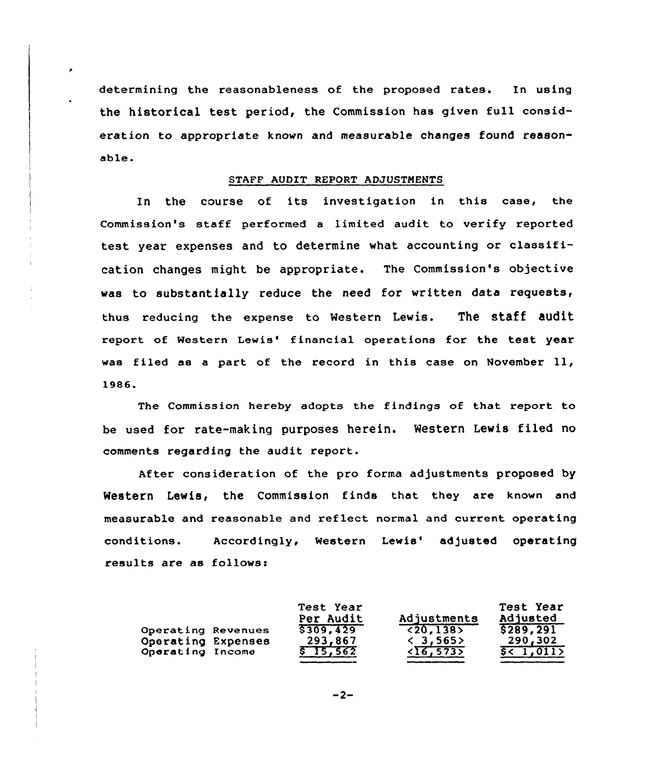determining the reasonableness of the proposed rates. In using the historical test period, the Commission has given full consideration to appropriate known and measurable changes found reasonable.

### STAFF AUDIT REPORT ADJUSTMENTS

In the course of its investigation in this case, the Commission's staff performed a limited audit to verify reported test year expenses and to determine what accounting or classification changes might be appropriate. The Commission's objective was to substantially reduce the need for written data requests, thus reducing the expense to Western Lewis. The staff audit report of Western Lewis' financial operations for the test year was filed aa <sup>a</sup> part of the record in this case on November ll, 1986.

The Commission hereby adopts the findings of that report to be used for rate-making purposes herein. Western Lewis filed no comments regarding the audit report.

After consideration of the pro forma adjustments proposed by Western Lewis, the Commission finds that they are known and measurable and reasonable and reflect normal and current operating conditions. Accordingly, Western Lewis' adjusted operating results are as follows:

|                                        | Test Year<br>Per Audit | Adjustments                                  | Test Year<br>Adjusted |
|----------------------------------------|------------------------|----------------------------------------------|-----------------------|
| Operating Revenues                     | \$309, 429             | (20.138)                                     | 5289, 291             |
| Operating Expenses<br>Operating Income | 293,867<br>\$15,562    | $\langle 3, 565 \rangle$<br>$\sqrt{16,5735}$ | 290,302<br>5 < 1,011  |

 $-2-$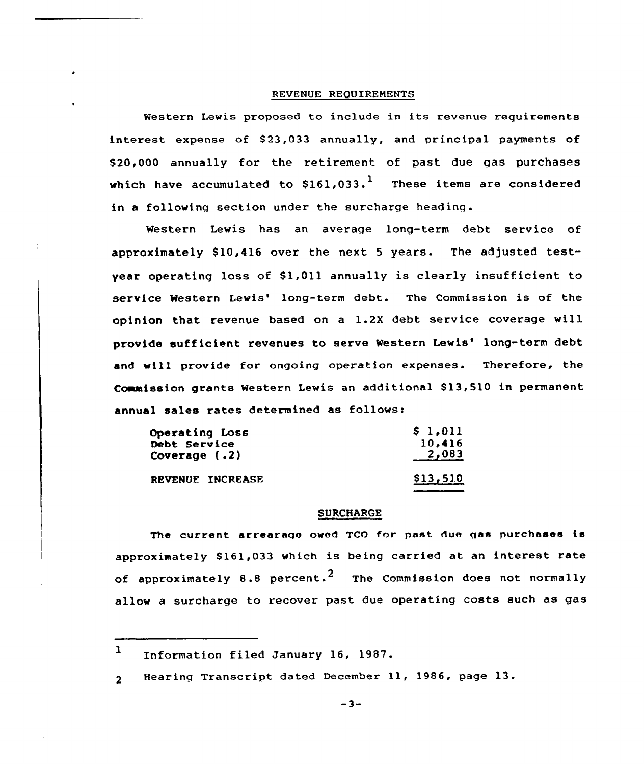### REVENUE REQUIREMENTS

Western Lewis proposed to include in its revenue requirements interest expense of \$23,033 annually, and principal payments of \$20,000 annually for the retirement of past due gas purchases which have accumulated to  $$161,033$ .<sup>1</sup> These items are considered in a following section under the surcharge heading.

Western Lewis has an average long-term debt service of approximately  $$10,416$  over the next 5 years. The adjusted testvear operating loss of  $$1,011$  annually is clearly insufficient to service Western Lewis' long-term debt. The Commission is of the opinion that revenue based on a 1.2X debt service coverage will provide sufficient revenues to serve Western Lewis' long-term debt and vill provide for ongoing operation expenses. Therefore, the Commission grants Western Lewis an additional \$13,510 in permanent annual sales rates determined as follows:

| Operating Loss   | \$1,011  |
|------------------|----------|
| Debt Service     | 10,416   |
| Coverage (.2)    | 2,083    |
| REVENUE INCREASE | \$13,510 |

### **SURCHARGE**

The current arrearage owed TCO for past due gas purchases is approximately 8161,033 which is being carried at an interest rate of approximately 8.8 percent.<sup>2</sup> The Commission does not normally allow a surcharge to recover past due operating costs such as gas

 $-3-$ 

<sup>1</sup> Information filed January 16, 1987.

Hearinq Transcript dated December 11, 1986, page 13. $2<sup>1</sup>$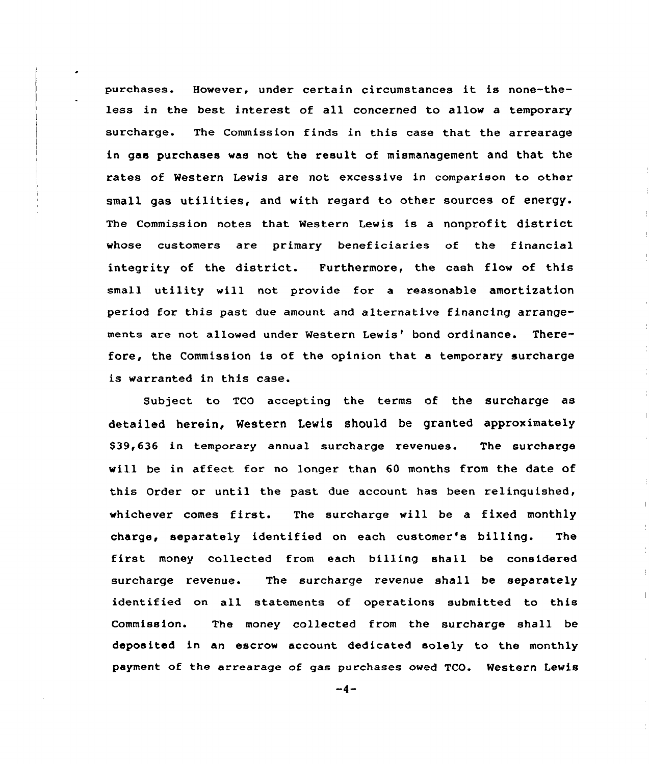purchases. However, under certain circumstances it is none-theless in the best interest of all concerned to allow a temporary surcharge. The Commission finds in this case that the arrearage in gas purchases was not the result of mismanagement and that the rates of Western Lewis are not excessive in comparison to other small gas utilities, and with regard to other sources of energy. The Commission notes that Western Lewis is a nonprofit district whose customers are primary beneficiaries of the financial integrity of the district. Furthermore, the cash flow of this small utility will not provide fer a reasonable amortization period for this past due amount and alternative financing arrangements are not allowed under Western Lewis' bond ordinance. Therefore, the Commission is of the opinion that a temporary suxcharge is warranted in this case.

Subject to TCO accepting the terms of the surcharge as detailed herein, Western Lewis should be granted approximately \$39,636 in temporary annual surcharge revenues. The surcharge will be in affect for no longer than 60 months from the date of this Order or until the past due account has been relinquished, whichever comes first. The surcharge will be <sup>a</sup> fixed monthly charge, separately identified on each customer's billing. The first money collected from each billing shall be considered surcharge revenue. The surcharge revenue shall be separately identified on all statements of operations submitted to this Commission. The money collected from the surcharge shall be deposited in an escrow account dedicated solely to the monthly payment of the arrearage of gas purchases owed TCO. Western Lewis

 $-4-$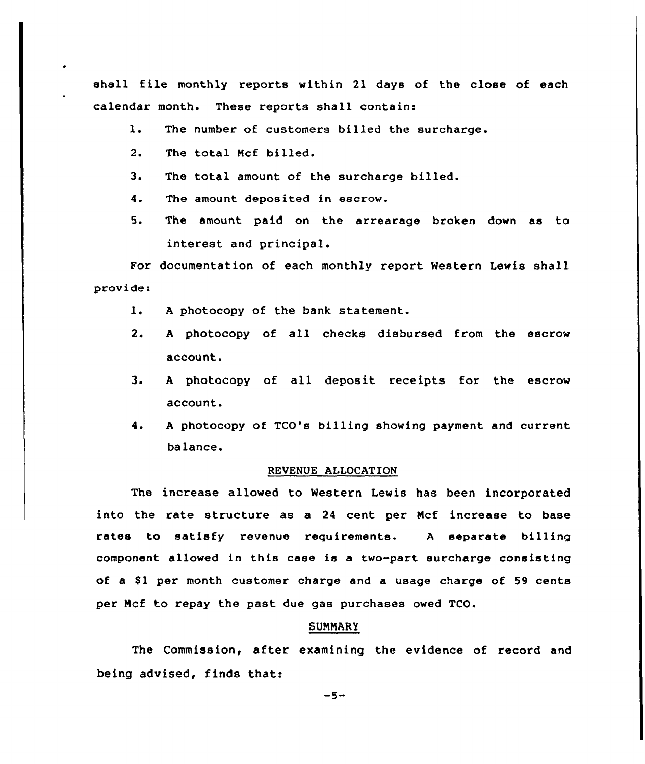shall file monthly reports within 21 days of the close of each calendar month. These reports shall contain:

- $\mathbf{1}$ . The number of customers billed the surcharge.
- $2.$ The total Mcf billed.
- 3. The total amount of the surcharge billed.
- 4. The amount deposited in escrow.
- 5. The amount paid on the arrearage broken down as to interest and principal.

For documentation of each monthly report Western Lewis shall provide:

- $1$ . <sup>A</sup> photocopy of the bank statement.
- $2.$ <sup>A</sup> photocopy of all checks disbursed from the escrow account.
- $3<sub>1</sub>$ A photocopy of all deposit receipts for the escrow account.
- <sup>A</sup> photocopy of TCO's billing showing payment and current  $4.$ balance.

### REVENVE ALLOCATION

The increase allowed to Western Lewis has been incorporated into the rate structure as a 24 cent per Mcf increase to base rates to satisfy revenue requirements. <sup>A</sup> separate billing companent allowed in this case is a twa-part surcharge consisting of a \$1 per month customer charge and a usage charge of 59 cents per Mcf to repay the past due gas purchases owed TCO.

## SUMMARY

The Commission, after examining the evidence of record and being advised, finds that:

 $-5-$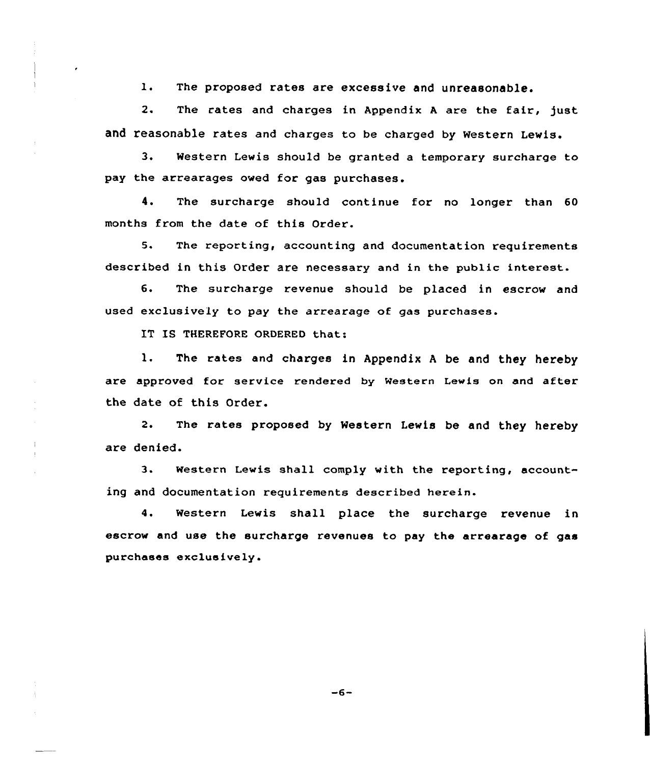l. The proposed rates are excessive and unreasonable.

2. The rates and charges in Appendix A are the fair, just and reasonable rates and charges to be charged by western Lewis.

3. Western Lewis should be granted a temporary surcharge to pay the arrearages owed for gas purchases.

4. The surcharge should continue for no longer than 60 months from the date of this Order.

5. The reporting, accounting and documentation requirements described in this Order are necessary and in the public interest.

6. The surcharge revenue should be placed in escrow and used exclusively to pay the arrearage of gas purchases.

IT IS THEREFORE ORDERED that:

l. The rates and charges in Appendix <sup>A</sup> be and they hereby are approved for service rendered by Western Lewis on and after the date of this Order.

2. The rates proposed by Western Lewis be and they hereby are denied.

3. Western Lewis shall comply with the reporting, accounting and documentation requirements described herein.

4. Western Lewis shall place the surcharge revenue in escrow and use the surcharge revenues to pay the arrearage of gas purchases exclusively.

 $-6-$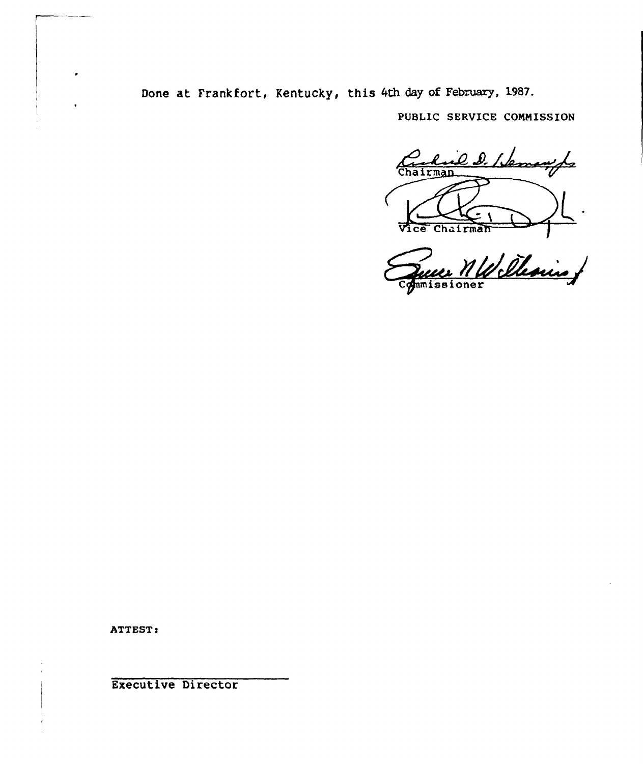Done at Frankfort, Kentucky, this 4th day of February, 1987.

PUBLIC SERVICE CONNISSION

Cribial D. Hemanife  $\overline{z}$ Vice Chairman

Commissioner

ATTEST:

Executive Director